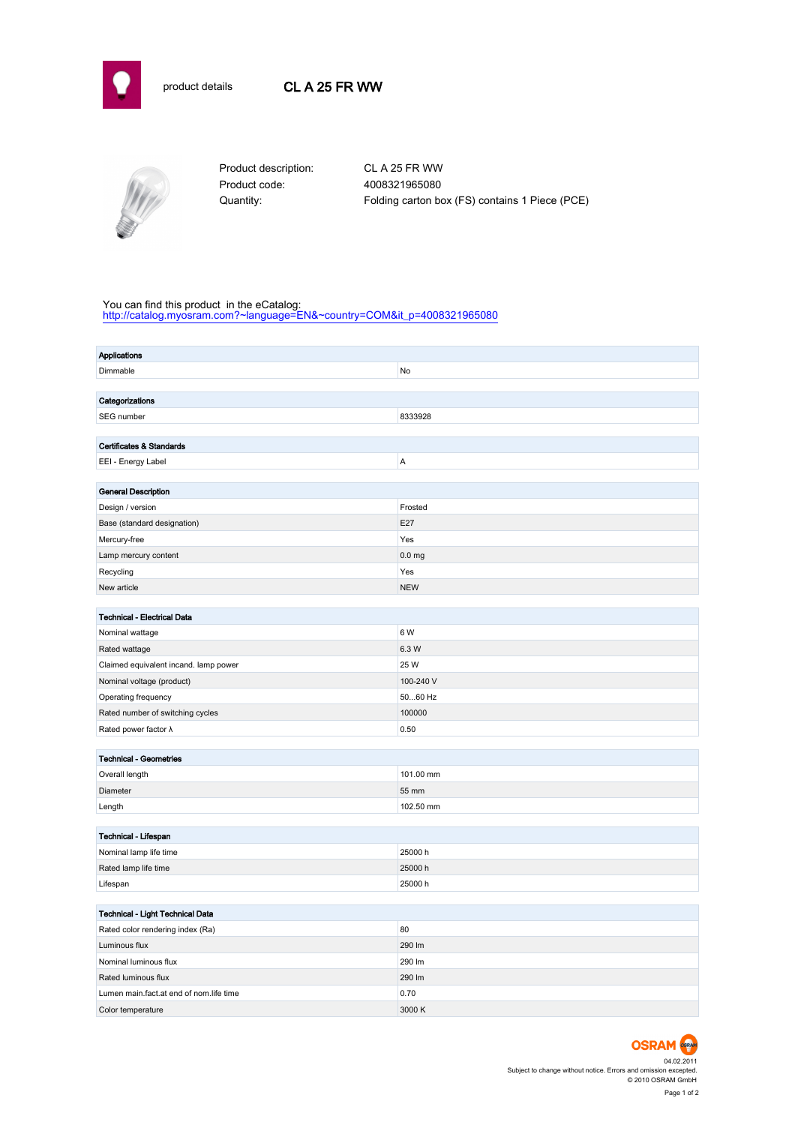



Product code: 4008321965080

Product description: CL A 25 FR WW Quantity: Folding carton box (FS) contains 1 Piece (PCE)

## You can find this product in the eCatalog:

[http://catalog.myosram.com?~language=EN&~country=COM&it\\_p=4008321965080](http://catalog.myosram.com?~language=EN&~country=COM&it_p=4008321965080)

| <b>Applications</b>                            |                   |  |  |  |
|------------------------------------------------|-------------------|--|--|--|
| Dimmable                                       | No                |  |  |  |
|                                                |                   |  |  |  |
| Categorizations                                |                   |  |  |  |
| SEG number                                     | 8333928           |  |  |  |
|                                                |                   |  |  |  |
| <b>Certificates &amp; Standards</b>            |                   |  |  |  |
| EEI - Energy Label                             | A                 |  |  |  |
|                                                |                   |  |  |  |
| <b>General Description</b>                     |                   |  |  |  |
| Design / version                               | Frosted           |  |  |  |
| Base (standard designation)                    | E27               |  |  |  |
| Mercury-free                                   | Yes               |  |  |  |
| Lamp mercury content                           | 0.0 <sub>mg</sub> |  |  |  |
| Recycling                                      | Yes               |  |  |  |
| New article                                    | <b>NEW</b>        |  |  |  |
|                                                |                   |  |  |  |
| <b>Technical - Electrical Data</b>             |                   |  |  |  |
| Nominal wattage                                | 6 W               |  |  |  |
| Rated wattage                                  | 6.3 W             |  |  |  |
| Claimed equivalent incand. lamp power          | 25 W              |  |  |  |
| Nominal voltage (product)                      | 100-240 V         |  |  |  |
| Operating frequency                            | 5060 Hz           |  |  |  |
| Rated number of switching cycles               | 100000            |  |  |  |
| Rated power factor $\lambda$                   | 0.50              |  |  |  |
|                                                |                   |  |  |  |
| <b>Technical - Geometries</b>                  | 101.00 mm         |  |  |  |
| Overall length                                 |                   |  |  |  |
| Diameter                                       | 55 mm             |  |  |  |
| Length                                         | 102.50 mm         |  |  |  |
|                                                |                   |  |  |  |
| Technical - Lifespan<br>Nominal lamp life time | 25000h            |  |  |  |
| Rated lamp life time                           | 25000h            |  |  |  |
| Lifespan                                       | 25000h            |  |  |  |
|                                                |                   |  |  |  |
| Technical - Light Technical Data               |                   |  |  |  |
| Rated color rendering index (Ra)               | 80                |  |  |  |
| Luminous flux                                  | 290 lm            |  |  |  |
| Nominal luminous flux                          | 290 lm            |  |  |  |
| Rated luminous flux                            | 290 lm            |  |  |  |
| Lumen main.fact.at end of nom.life time        | 0.70              |  |  |  |
| Color temperature                              | 3000 K            |  |  |  |